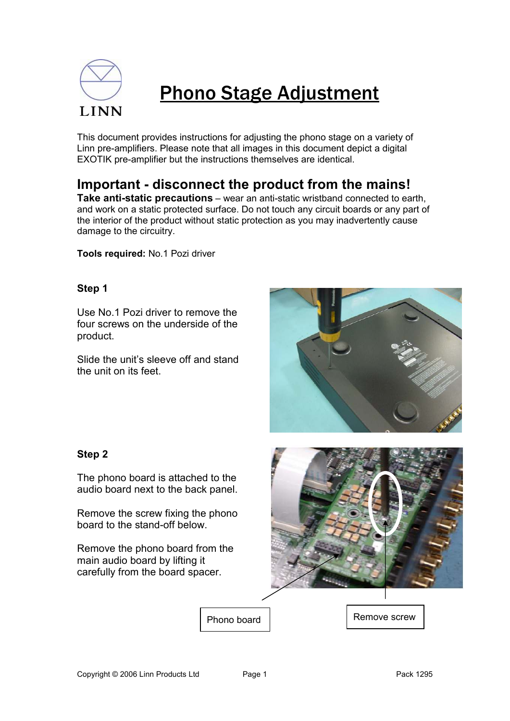

# Phono Stage Adjustment

This document provides instructions for adjusting the phono stage on a variety of Linn pre-amplifiers. Please note that all images in this document depict a digital EXOTIK pre-amplifier but the instructions themselves are identical.

**Important - disconnect the product from the mains!** 

**Take anti-static precautions** – wear an anti-static wristband connected to earth, and work on a static protected surface. Do not touch any circuit boards or any part of the interior of the product without static protection as you may inadvertently cause damage to the circuitry.

**Tools required:** No.1 Pozi driver

## **Step 1**

Use No.1 Pozi driver to remove the four screws on the underside of the product.

Slide the unit's sleeve off and stand the unit on its feet.



#### **Step 2**

The phono board is attached to the audio board next to the back panel.

Remove the screw fixing the phono board to the stand-off below.

Remove the phono board from the main audio board by lifting it carefully from the board spacer.



Phono board | Remove screw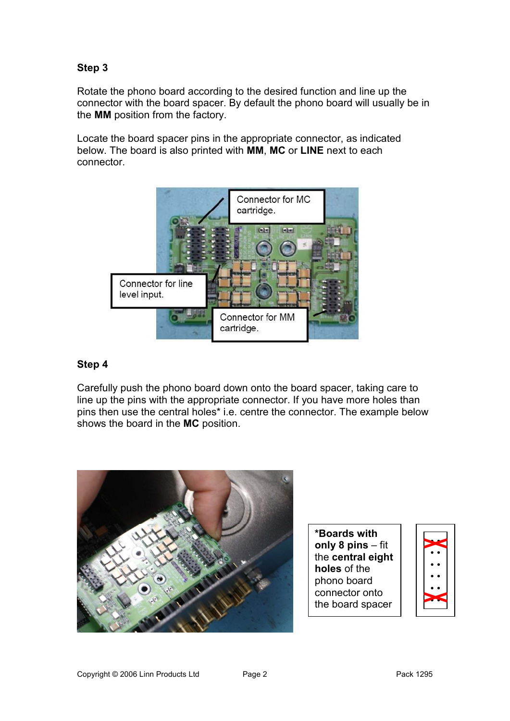# **Step 3**

Rotate the phono board according to the desired function and line up the connector with the board spacer. By default the phono board will usually be in the **MM** position from the factory.

Locate the board spacer pins in the appropriate connector, as indicated below. The board is also printed with **MM**, **MC** or **LINE** next to each connector.



#### **Step 4**

Carefully push the phono board down onto the board spacer, taking care to line up the pins with the appropriate connector. If you have more holes than pins then use the central holes\* i.e. centre the connector. The example below shows the board in the **MC** position.



**\*Boards with only 8 pins** – fit the **central eight holes** of the phono board connector onto the board spacer